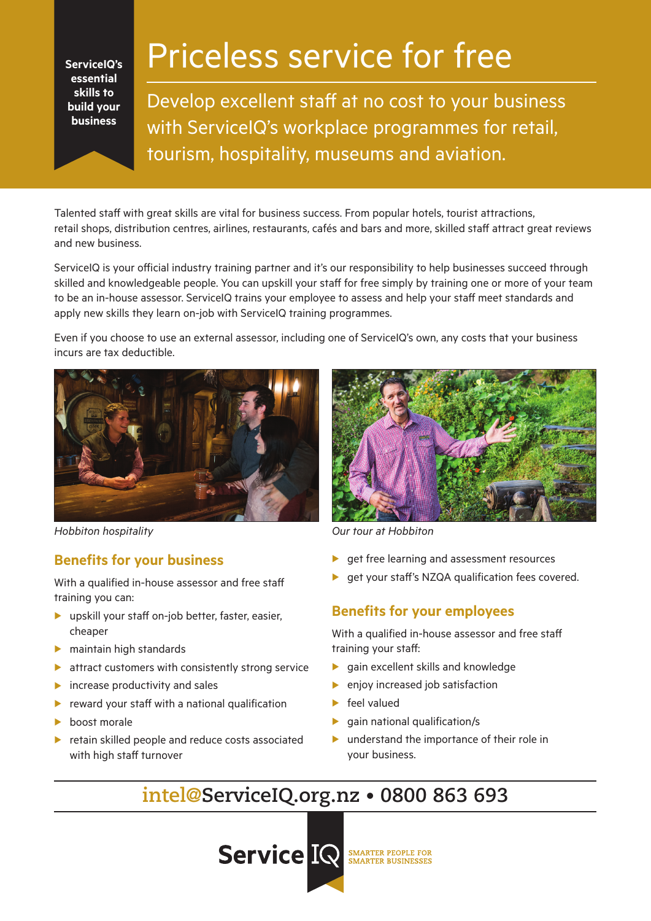**ServiceIQ's essential skills to build your business**

# Priceless service for free

Develop excellent staff at no cost to your business with ServiceIQ's workplace programmes for retail, tourism, hospitality, museums and aviation.

Talented staff with great skills are vital for business success. From popular hotels, tourist attractions, retail shops, distribution centres, airlines, restaurants, cafés and bars and more, skilled staff attract great reviews and new business.

ServiceIQ is your official industry training partner and it's our responsibility to help businesses succeed through skilled and knowledgeable people. You can upskill your staff for free simply by training one or more of your team to be an in-house assessor. ServiceIQ trains your employee to assess and help your staff meet standards and apply new skills they learn on-job with ServiceIQ training programmes.

Even if you choose to use an external assessor, including one of ServiceIQ's own, any costs that your business incurs are tax deductible.



## **Benefits for your business**

With a qualified in-house assessor and free staff training you can:

- $\blacktriangleright$  upskill your staff on-job better, faster, easier, cheaper
- $\blacktriangleright$  maintain high standards
- $\blacktriangleright$  attract customers with consistently strong service
- $\blacktriangleright$  increase productivity and sales
- reward your staff with a national qualification
- boost morale
- $\blacktriangleright$  retain skilled people and reduce costs associated with high staff turnover



*Hobbiton hospitality Our tour at Hobbiton*

- $\blacktriangleright$  get free learning and assessment resources
- $\blacktriangleright$  get your staff's NZQA qualification fees covered.

## **Benefits for your employees**

With a qualified in-house assessor and free staff training your staff:

- $\blacktriangleright$  gain excellent skills and knowledge
- $\blacktriangleright$  enjoy increased job satisfaction
- $\blacktriangleright$  feel valued
- $\blacktriangleright$  gain national qualification/s
- $\blacktriangleright$  understand the importance of their role in your business.

## **intel@ServiceIQ.org.nz • 0800 863 693**

**Service IQ SMARTER PEOPLE FOR**